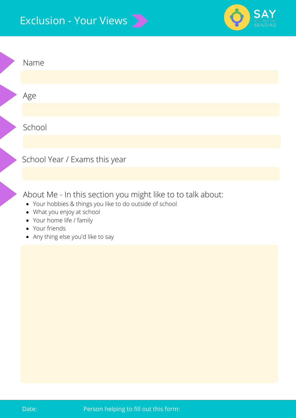## Exclusion - Your Views



| Name                                                        |
|-------------------------------------------------------------|
|                                                             |
| Age                                                         |
|                                                             |
| School                                                      |
|                                                             |
| School Year / Exams this year                               |
|                                                             |
| About Me - In this section you might like to to talk about: |

- Your hobbies & things you like to do outside of school
- What you enjoy at school
- Your home life / family
- Your friends
- Any thing else you'd like to say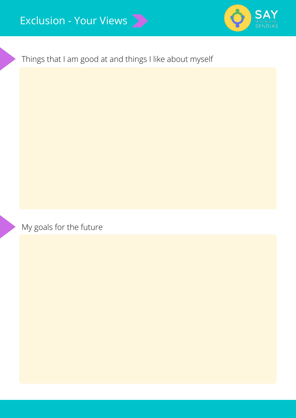

Things that I am good at and things I like about myself

My goals for the future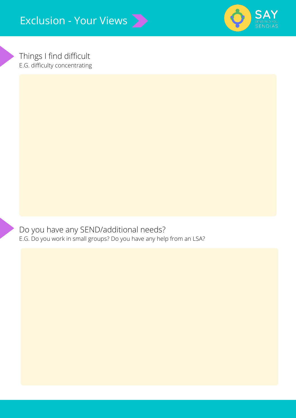

Things I find difficult E.G. difficulty concentrating

Do you have any SEND/additional needs? E.G. Do you work in small groups? Do you have any help from an LSA?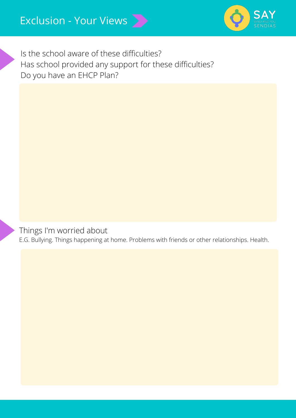

Is the school aware of these difficulties? Has school provided any support for these difficulties? Do you have an EHCP Plan?

Things I'm worried about

E.G. Bullying. Things happening at home. Problems with friends or other relationships. Health.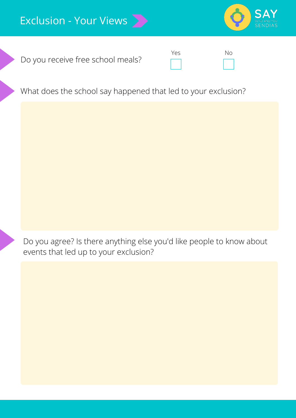

Do you receive free school meals?



What does the school say happened that led to your exclusion?

Do you agree? Is there anything else you'd like people to know about events that led up to your exclusion?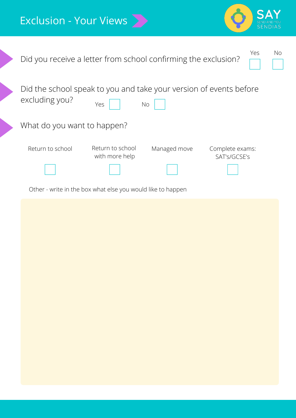

| Did you receive a letter from school confirming the exclusion?                       |                                                             |              | Yes                             | No |
|--------------------------------------------------------------------------------------|-------------------------------------------------------------|--------------|---------------------------------|----|
| Did the school speak to you and take your version of events before<br>excluding you? | Yes                                                         | No           |                                 |    |
| What do you want to happen?                                                          |                                                             |              |                                 |    |
| Return to school                                                                     | Return to school<br>with more help                          | Managed move | Complete exams:<br>SAT's/GCSE's |    |
|                                                                                      | Other - write in the box what else you would like to happen |              |                                 |    |
|                                                                                      |                                                             |              |                                 |    |
|                                                                                      |                                                             |              |                                 |    |
|                                                                                      |                                                             |              |                                 |    |
|                                                                                      |                                                             |              |                                 |    |
|                                                                                      |                                                             |              |                                 |    |
|                                                                                      |                                                             |              |                                 |    |
|                                                                                      |                                                             |              |                                 |    |
|                                                                                      |                                                             |              |                                 |    |
|                                                                                      |                                                             |              |                                 |    |